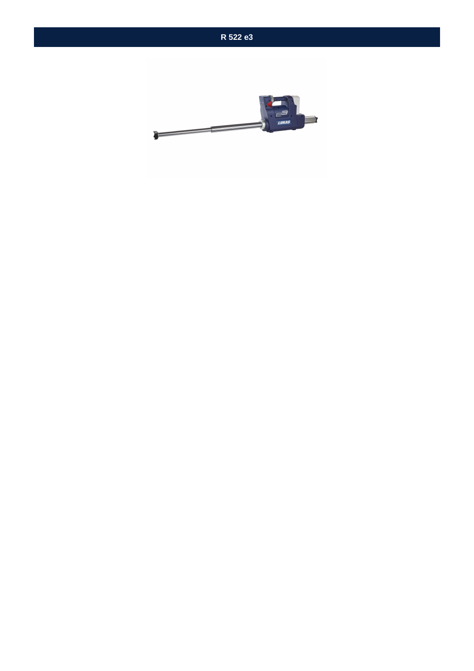

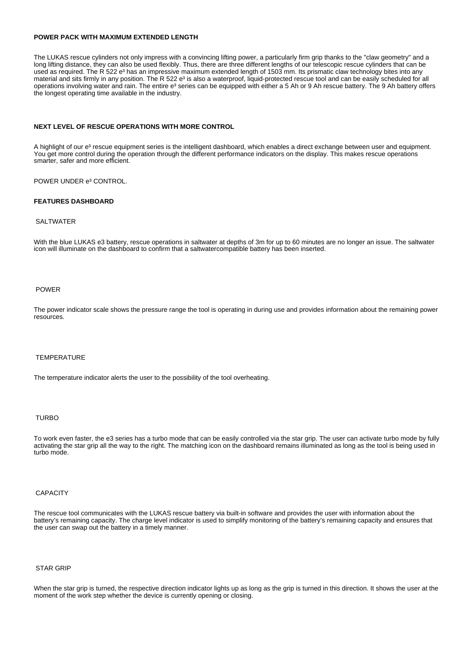# **POWER PACK WITH MAXIMUM EXTENDED LENGTH**

The LUKAS rescue cylinders not only impress with a convincing lifting power, a particularly firm grip thanks to the "claw geometry" and a long lifting distance, they can also be used flexibly. Thus, there are three different lengths of our telescopic rescue cylinders that can be used as required. The R 522 e<sup>3</sup> has an impressive maximum extended length of 1503 mm. Its prismatic claw technology bites into any material and sits firmly in any position. The R 522 e<sup>3</sup> is also a waterproof, liquid-protected rescue tool and can be easily scheduled for all operations involving water and rain. The entire e<sup>3</sup> series can be equipped with either a 5 Ah or 9 Ah rescue battery. The 9 Ah battery offers the longest operating time available in the industry.

# **NEXT LEVEL OF RESCUE OPERATIONS WITH MORE CONTROL**

A highlight of our e<sup>3</sup> rescue equipment series is the intelligent dashboard, which enables a direct exchange between user and equipment. You get more control during the operation through the different performance indicators on the display. This makes rescue operations smarter, safer and more efficient.

POWER UNDER e<sup>3</sup> CONTROL.

#### **FEATURES DASHBOARD**

# SALTWATER

With the blue LUKAS e3 battery, rescue operations in saltwater at depths of 3m for up to 60 minutes are no longer an issue. The saltwater icon will illuminate on the dashboard to confirm that a saltwatercompatible battery has been inserted.

### POWER

The power indicator scale shows the pressure range the tool is operating in during use and provides information about the remaining power resources.

#### TEMPERATURE

The temperature indicator alerts the user to the possibility of the tool overheating.

# TURBO

To work even faster, the e3 series has a turbo mode that can be easily controlled via the star grip. The user can activate turbo mode by fully activating the star grip all the way to the right. The matching icon on the dashboard remains illuminated as long as the tool is being used in turbo mode.

# **CAPACITY**

The rescue tool communicates with the LUKAS rescue battery via built-in software and provides the user with information about the battery's remaining capacity. The charge level indicator is used to simplify monitoring of the battery's remaining capacity and ensures that the user can swap out the battery in a timely manner.

# STAR GRIP

When the star grip is turned, the respective direction indicator lights up as long as the grip is turned in this direction. It shows the user at the moment of the work step whether the device is currently opening or closing.